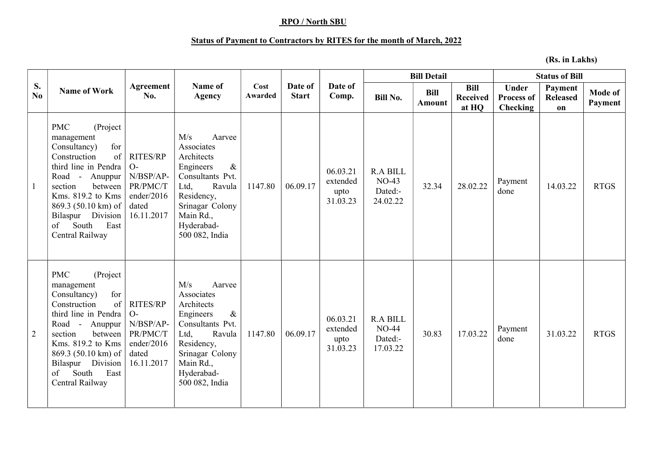## RPO / North SBU

## Status of Payment to Contractors by RITES for the month of March, 2022

(Rs. in Lakhs)

|                |                                                                                                                                                                                                                                                                          |                                                                                       |                                                                                                                                                                                    |                 |                         |                                          |                                                   | <b>Bill Detail</b>           |                                         | <b>Status of Bill</b>                                |                                  |                    |
|----------------|--------------------------------------------------------------------------------------------------------------------------------------------------------------------------------------------------------------------------------------------------------------------------|---------------------------------------------------------------------------------------|------------------------------------------------------------------------------------------------------------------------------------------------------------------------------------|-----------------|-------------------------|------------------------------------------|---------------------------------------------------|------------------------------|-----------------------------------------|------------------------------------------------------|----------------------------------|--------------------|
| S.<br>No.      | <b>Name of Work</b>                                                                                                                                                                                                                                                      | Agreement<br>No.                                                                      | Name of<br><b>Agency</b>                                                                                                                                                           | Cost<br>Awarded | Date of<br><b>Start</b> | Date of<br>Comp.                         | <b>Bill No.</b>                                   | <b>Bill</b><br><b>Amount</b> | <b>Bill</b><br><b>Received</b><br>at HQ | <b>Under</b><br><b>Process of</b><br><b>Checking</b> | Payment<br><b>Released</b><br>on | Mode of<br>Payment |
|                | <b>PMC</b><br>(Project<br>management<br>for<br>Consultancy)<br>Construction<br>of<br>third line in Pendra<br>Road - Anuppur<br>section<br>between<br>Kms. 819.2 to Kms<br>869.3 (50.10 km) of<br>Bilaspur Division<br>of<br>South<br>East<br>Central Railway             | <b>RITES/RP</b><br>$O-$<br>N/BSP/AP-<br>PR/PMC/T<br>ender/2016<br>dated<br>16.11.2017 | M/s<br>Aarvee<br>Associates<br>Architects<br>Engineers<br>$\&$<br>Consultants Pvt.<br>Ltd,<br>Ravula<br>Residency,<br>Srinagar Colony<br>Main Rd.,<br>Hyderabad-<br>500 082, India | 1147.80         | 06.09.17                | 06.03.21<br>extended<br>upto<br>31.03.23 | <b>R.A BILL</b><br>$NO-43$<br>Dated:-<br>24.02.22 | 32.34                        | 28.02.22                                | Payment<br>done                                      | 14.03.22                         | <b>RTGS</b>        |
| $\overline{2}$ | <b>PMC</b><br>(Project<br>management<br>for<br>Consultancy)<br>of<br>Construction<br>third line in Pendra<br>Road -<br>Anuppur<br>between<br>section<br>Kms. 819.2 to Kms<br>$869.3(50.10 \text{ km})$ of<br>Bilaspur Division<br>East<br>South<br>of<br>Central Railway | <b>RITES/RP</b><br>$O-$<br>N/BSP/AP-<br>PR/PMC/T<br>ender/2016<br>dated<br>16.11.2017 | M/s<br>Aarvee<br>Associates<br>Architects<br>Engineers<br>$\&$<br>Consultants Pvt.<br>Ltd,<br>Ravula<br>Residency,<br>Srinagar Colony<br>Main Rd.,<br>Hyderabad-<br>500 082, India | 1147.80         | 06.09.17                | 06.03.21<br>extended<br>upto<br>31.03.23 | <b>R.A BILL</b><br>$NO-44$<br>Dated:-<br>17.03.22 | 30.83                        | 17.03.22                                | Payment<br>done                                      | 31.03.22                         | <b>RTGS</b>        |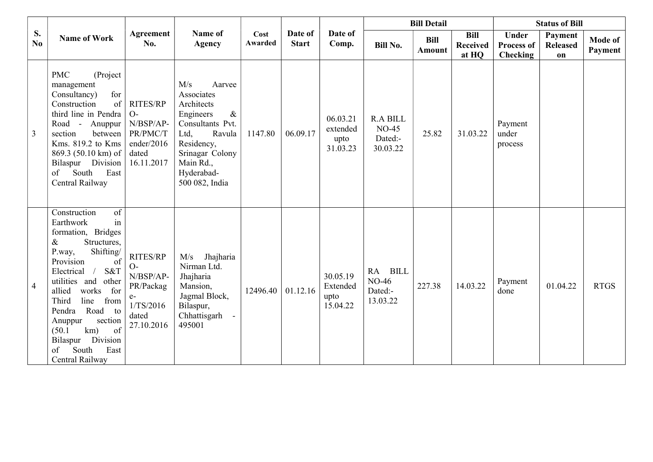|                |                                                                                                                                                                                                                                                                                                                                                                               |                                                                                        | <b>Bill Detail</b>                                                                                                                                                                 |                        |                         | <b>Status of Bill</b>                    |                                                   |                              |                                         |                                                      |                                  |                    |
|----------------|-------------------------------------------------------------------------------------------------------------------------------------------------------------------------------------------------------------------------------------------------------------------------------------------------------------------------------------------------------------------------------|----------------------------------------------------------------------------------------|------------------------------------------------------------------------------------------------------------------------------------------------------------------------------------|------------------------|-------------------------|------------------------------------------|---------------------------------------------------|------------------------------|-----------------------------------------|------------------------------------------------------|----------------------------------|--------------------|
| S.<br>No.      | <b>Name of Work</b><br>No.                                                                                                                                                                                                                                                                                                                                                    | Agreement                                                                              | Name of<br><b>Agency</b>                                                                                                                                                           | Cost<br><b>Awarded</b> | Date of<br><b>Start</b> | Date of<br>Comp.                         | <b>Bill No.</b>                                   | <b>Bill</b><br><b>Amount</b> | <b>Bill</b><br><b>Received</b><br>at HQ | <b>Under</b><br><b>Process of</b><br><b>Checking</b> | Payment<br><b>Released</b><br>on | Mode of<br>Payment |
| $\overline{3}$ | <b>PMC</b><br>(Project<br>management<br>for<br>Consultancy)<br>Construction<br>of<br>third line in Pendra<br>Road -<br>Anuppur<br>section<br>between<br>Kms. 819.2 to Kms<br>869.3 (50.10 km) of<br>Bilaspur Division<br>of<br>South<br>East<br>Central Railway                                                                                                               | <b>RITES/RP</b><br>$O-$<br>N/BSP/AP-<br>PR/PMC/T<br>ender/2016<br>dated<br>16.11.2017  | M/s<br>Aarvee<br>Associates<br>Architects<br>Engineers<br>$\&$<br>Consultants Pvt.<br>Ltd,<br>Ravula<br>Residency,<br>Srinagar Colony<br>Main Rd.,<br>Hyderabad-<br>500 082, India | 1147.80                | 06.09.17                | 06.03.21<br>extended<br>upto<br>31.03.23 | <b>R.A BILL</b><br>$NO-45$<br>Dated:-<br>30.03.22 | 25.82                        | 31.03.22                                | Payment<br>under<br>process                          |                                  |                    |
| $\overline{4}$ | of<br>Construction<br>in<br>Earthwork<br>formation, Bridges<br>$\&$<br>Structures,<br>Shifting/<br>P.way,<br>Provision<br>of<br>S&T<br>$\sqrt{ }$<br>Electrical<br>utilities and other<br>works<br>for<br>allied<br>Third<br>line<br>from<br>Pendra<br>Road to<br>section<br>Anuppur<br>of<br>(50.1)<br>km)<br>Bilaspur<br>Division<br>South<br>of<br>East<br>Central Railway | RITES/RP<br>$O-$<br>N/BSP/AP-<br>PR/Packag<br>$e-$<br>1/TS/2016<br>dated<br>27.10.2016 | Jhajharia<br>M/s<br>Nirman Ltd.<br>Jhajharia<br>Mansion,<br>Jagmal Block,<br>Bilaspur,<br>Chhattisgarh<br>495001                                                                   | 12496.40               | 01.12.16                | 30.05.19<br>Extended<br>upto<br>15.04.22 | <b>BILL</b><br>RA<br>NO-46<br>Dated:-<br>13.03.22 | 227.38                       | 14.03.22                                | Payment<br>done                                      | 01.04.22                         | <b>RTGS</b>        |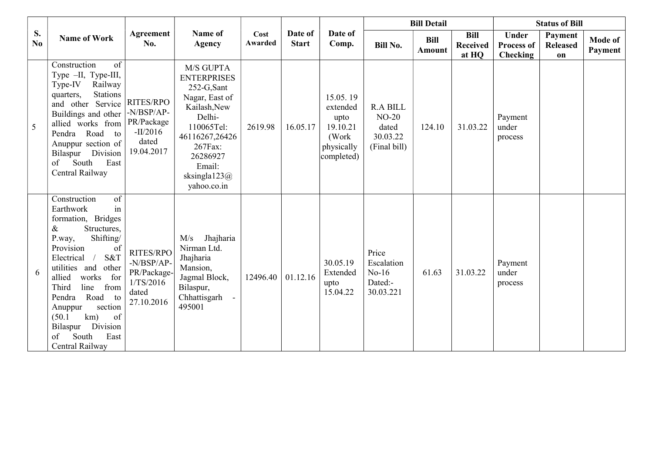|           | <b>Name of Work</b>                                                                                                                                                                                                                                                                                                                                                                 |                                                                            |                                                                                                                                                                                              |                 |                         |                                                                                | <b>Bill Detail</b>                                              |                              |                                  | <b>Status of Bill</b>                                |                                  |                           |
|-----------|-------------------------------------------------------------------------------------------------------------------------------------------------------------------------------------------------------------------------------------------------------------------------------------------------------------------------------------------------------------------------------------|----------------------------------------------------------------------------|----------------------------------------------------------------------------------------------------------------------------------------------------------------------------------------------|-----------------|-------------------------|--------------------------------------------------------------------------------|-----------------------------------------------------------------|------------------------------|----------------------------------|------------------------------------------------------|----------------------------------|---------------------------|
| S.<br>No. |                                                                                                                                                                                                                                                                                                                                                                                     | Agreement<br>No.                                                           | Name of<br><b>Agency</b>                                                                                                                                                                     | Cost<br>Awarded | Date of<br><b>Start</b> | Date of<br>Comp.                                                               | <b>Bill No.</b>                                                 | <b>Bill</b><br><b>Amount</b> | Bill<br><b>Received</b><br>at HQ | <b>Under</b><br><b>Process of</b><br><b>Checking</b> | Payment<br><b>Released</b><br>on | <b>Mode of</b><br>Payment |
| 5         | of<br>Construction<br>Type -II, Type-III,<br>Type-IV<br>Railway<br><b>Stations</b><br>quarters,<br>and other Service<br>Buildings and other<br>allied works from PR/Package<br>Pendra Road to<br>Anuppur section of<br>Bilaspur Division<br>South<br>East<br>of<br>Central Railway                                                                                                  | RITES/RPO<br>-N/BSP/AP-<br>$-II/2016$<br>dated<br>19.04.2017               | M/S GUPTA<br><b>ENTERPRISES</b><br>252-G,Sant<br>Nagar, East of<br>Kailash, New<br>Delhi-<br>110065Tel:<br>46116267,26426<br>267Fax:<br>26286927<br>Email:<br>sksingla $123@$<br>yahoo.co.in | 2619.98         | 16.05.17                | 15.05.19<br>extended<br>upto<br>19.10.21<br>(Work)<br>physically<br>completed) | <b>R.A BILL</b><br>$NO-20$<br>dated<br>30.03.22<br>(Final bill) | 124.10                       | 31.03.22                         | Payment<br>under<br>process                          |                                  |                           |
| 6         | $\overline{\text{of}}$<br>Construction<br>in<br>Earthwork<br>formation, Bridges<br>Structures,<br>&<br>Shifting/<br>P.way,<br>Provision<br>of<br>S&T<br>Electrical<br>utilities and<br>other<br>works<br>for<br>allied<br>line<br>Third<br>from<br>Road to<br>Pendra<br>section<br>Anuppur<br>km)<br>of<br>(50.1)<br>Division<br>Bilaspur<br>South<br>East<br>of<br>Central Railway | RITES/RPO<br>-N/BSP/AP-<br>PR/Package-<br>1/TS/2016<br>dated<br>27.10.2016 | Jhajharia<br>M/s<br>Nirman Ltd.<br>Jhajharia<br>Mansion,<br>Jagmal Block,<br>Bilaspur,<br>Chhattisgarh<br>495001                                                                             | 12496.40        | 01.12.16                | 30.05.19<br>Extended<br>upto<br>15.04.22                                       | Price<br>Escalation<br>$No-16$<br>Dated:-<br>30.03.221          | 61.63                        | 31.03.22                         | Payment<br>under<br>process                          |                                  |                           |